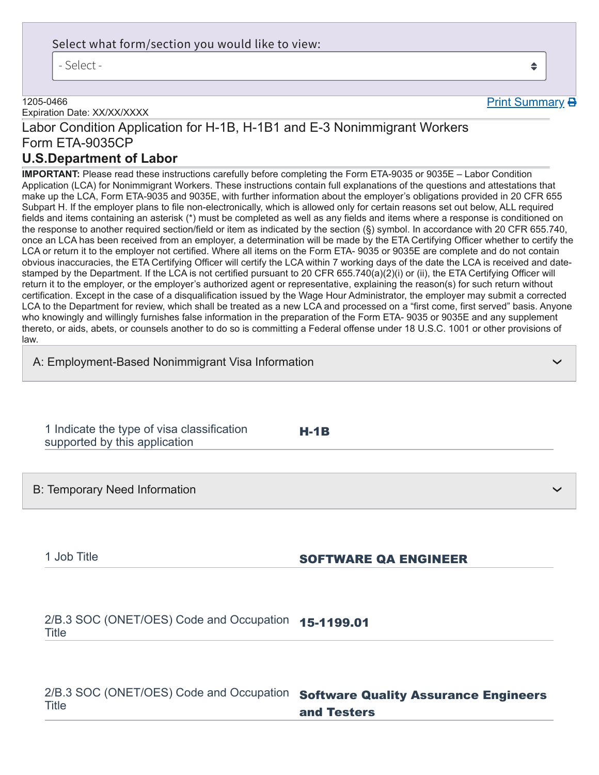#### Select what form/section you would like to view:

- Select -

#### 1205-0466

Expiration Date: XX/XX/XXXX

# Labor Condition Application for H-1B, H-1B1 and E-3 Nonimmigrant Workers Form ETA-9035CP

## **U.S.Department of Labor**

**IMPORTANT:** Please read these instructions carefully before completing the Form ETA-9035 or 9035E – Labor Condition Application (LCA) for Nonimmigrant Workers. These instructions contain full explanations of the questions and attestations that make up the LCA, Form ETA-9035 and 9035E, with further information about the employer's obligations provided in 20 CFR 655 Subpart H. If the employer plans to file non-electronically, which is allowed only for certain reasons set out below, ALL required fields and items containing an asterisk (\*) must be completed as well as any fields and items where a response is conditioned on the response to another required section/field or item as indicated by the section (§) symbol. In accordance with 20 CFR 655.740, once an LCA has been received from an employer, a determination will be made by the ETA Certifying Officer whether to certify the LCA or return it to the employer not certified. Where all items on the Form ETA- 9035 or 9035E are complete and do not contain obvious inaccuracies, the ETA Certifying Officer will certify the LCA within 7 working days of the date the LCA is received and datestamped by the Department. If the LCA is not certified pursuant to 20 CFR 655.740(a)(2)(i) or (ii), the ETA Certifying Officer will return it to the employer, or the employer's authorized agent or representative, explaining the reason(s) for such return without certification. Except in the case of a disqualification issued by the Wage Hour Administrator, the employer may submit a corrected LCA to the Department for review, which shall be treated as a new LCA and processed on a "first come, first served" basis. Anyone who knowingly and willingly furnishes false information in the preparation of the Form ETA- 9035 or 9035E and any supplement thereto, or aids, abets, or counsels another to do so is committing a Federal offense under 18 U.S.C. 1001 or other provisions of law.

H-1B

A: Employment-Based Nonimmigrant Visa Information

1 Indicate the type of visa classification supported by this application

B: Temporary Need Information

## 1 Job Title **SOFTWARE QA ENGINEER**

2/B.3 SOC (ONET/OES) Code and Occupation **15-1199.01**<br>———————————————————— Title

2/B.3 SOC (ONET/OES) Code and Occupation **Software Quality Assurance Engineers Title** and Testers

 $\triangleq$ 

Print Summary **B** 

❯

❯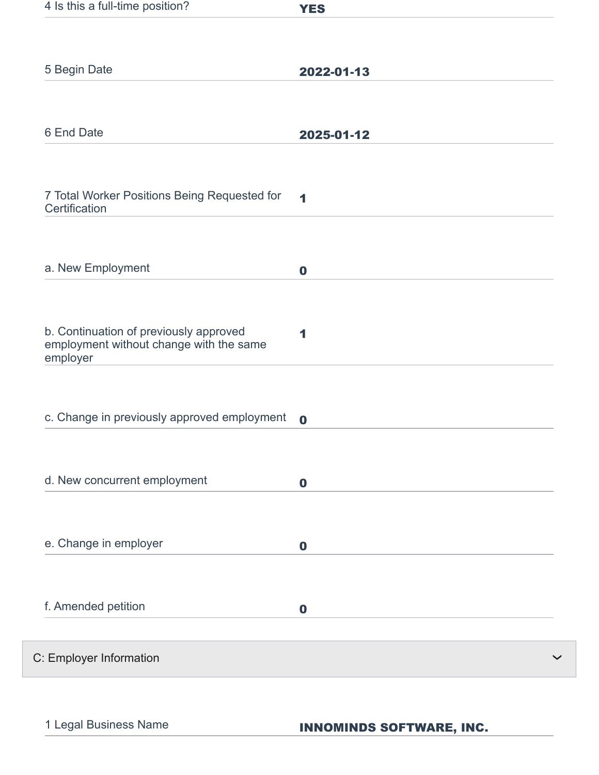| 4 Is this a full-time position?                                                               | <b>YES</b>           |
|-----------------------------------------------------------------------------------------------|----------------------|
|                                                                                               |                      |
| 5 Begin Date                                                                                  | 2022-01-13           |
|                                                                                               |                      |
| 6 End Date                                                                                    | 2025-01-12           |
|                                                                                               |                      |
| 7 Total Worker Positions Being Requested for<br>Certification                                 | $\blacktriangleleft$ |
|                                                                                               |                      |
| a. New Employment                                                                             | $\boldsymbol{0}$     |
|                                                                                               |                      |
| b. Continuation of previously approved<br>employment without change with the same<br>employer | 1                    |
|                                                                                               |                      |
| c. Change in previously approved employment                                                   | $\mathbf 0$          |
|                                                                                               |                      |
| d. New concurrent employment                                                                  | $\mathbf 0$          |
|                                                                                               |                      |
| e. Change in employer                                                                         | $\bf{0}$             |
| f. Amended petition                                                                           |                      |
|                                                                                               | $\boldsymbol{0}$     |
| C: Employer Information                                                                       |                      |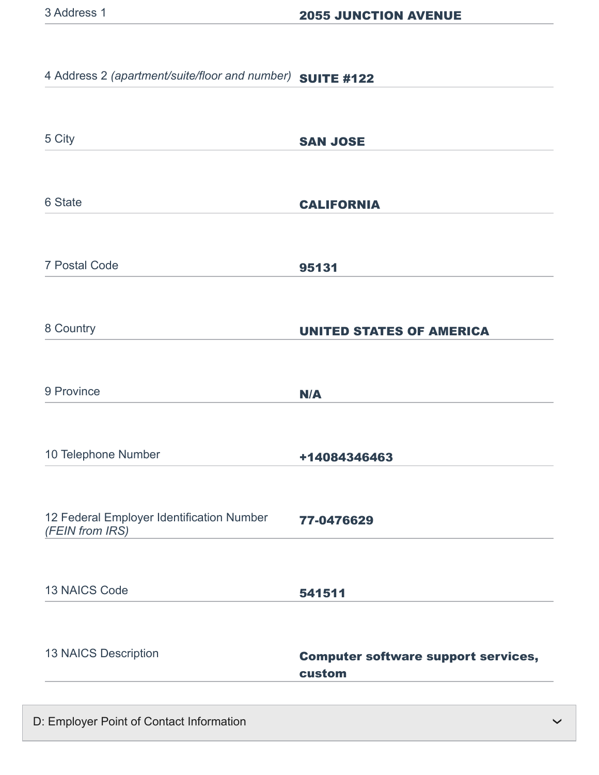# 4 Address 2 *(apartment/suite/floor and number)* SUITE #122

| 5 City                                                       | <b>SAN JOSE</b>                                      |
|--------------------------------------------------------------|------------------------------------------------------|
| 6 State                                                      | <b>CALIFORNIA</b>                                    |
| <b>7 Postal Code</b>                                         | 95131                                                |
| 8 Country                                                    | <b>UNITED STATES OF AMERICA</b>                      |
| 9 Province                                                   | N/A                                                  |
| 10 Telephone Number                                          | +14084346463                                         |
| 12 Federal Employer Identification Number<br>(FEIN from IRS) | 77-0476629                                           |
| <b>13 NAICS Code</b>                                         | 541511                                               |
| 13 NAICS Description                                         | <b>Computer software support services,</b><br>custom |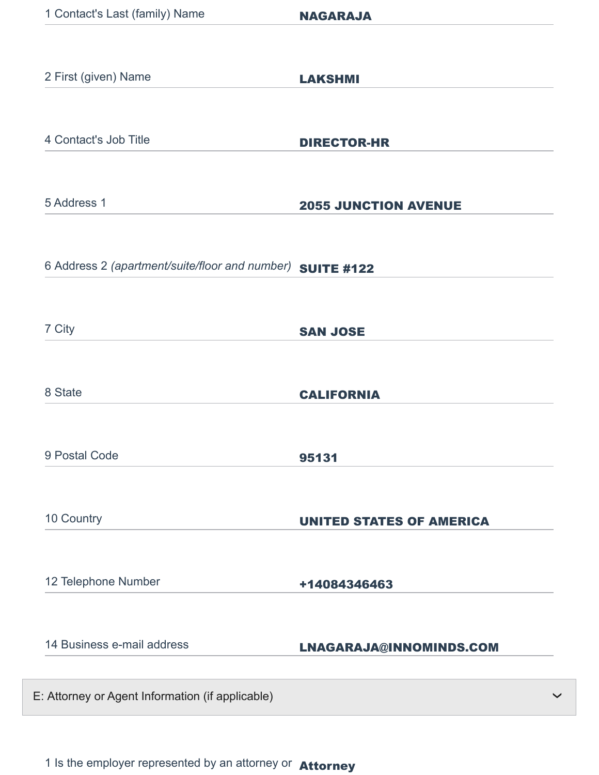| 2 First (given) Name                                      | <b>LAKSHMI</b>                  |
|-----------------------------------------------------------|---------------------------------|
| 4 Contact's Job Title                                     | <b>DIRECTOR-HR</b>              |
| 5 Address 1                                               | <b>2055 JUNCTION AVENUE</b>     |
| 6 Address 2 (apartment/suite/floor and number) SUITE #122 |                                 |
| 7 City                                                    | <b>SAN JOSE</b>                 |
| 8 State                                                   | <b>CALIFORNIA</b>               |
| 9 Postal Code                                             | 95131                           |
| 10 Country                                                | <b>UNITED STATES OF AMERICA</b> |
| 12 Telephone Number                                       | +14084346463                    |
| 14 Business e-mail address                                | LNAGARAJA@INNOMINDS.COM         |
| E: Attorney or Agent Information (if applicable)          |                                 |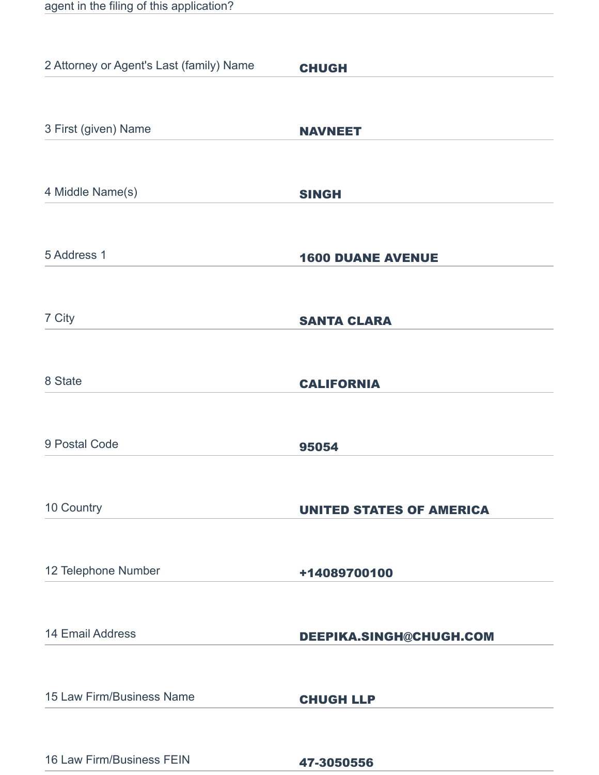|  |  | agent in the filing of this application? |
|--|--|------------------------------------------|
|  |  |                                          |

| 2 Attorney or Agent's Last (family) Name | <b>CHUGH</b>                    |
|------------------------------------------|---------------------------------|
|                                          |                                 |
| 3 First (given) Name                     | <b>NAVNEET</b>                  |
|                                          |                                 |
| 4 Middle Name(s)                         | <b>SINGH</b>                    |
| 5 Address 1                              | <b>1600 DUANE AVENUE</b>        |
| 7 City                                   | <b>SANTA CLARA</b>              |
|                                          |                                 |
| 8 State                                  | <b>CALIFORNIA</b>               |
| 9 Postal Code                            | 95054                           |
| 10 Country                               | <b>UNITED STATES OF AMERICA</b> |
| 12 Telephone Number                      | +14089700100                    |
| 14 Email Address                         | DEEPIKA.SINGH@CHUGH.COM         |
| 15 Law Firm/Business Name                | <b>CHUGH LLP</b>                |
| 16 Law Firm/Business FEIN                | 47-3050556                      |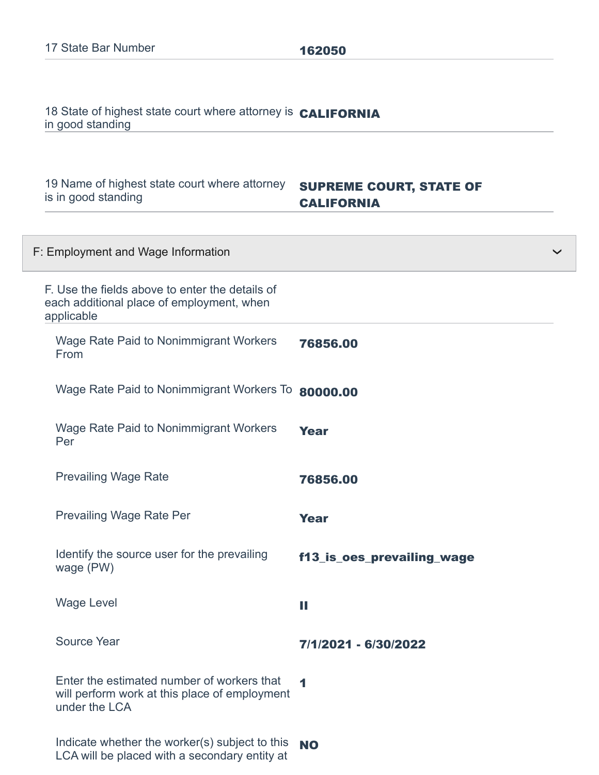18 State of highest state court where attorney is **CALIFORNIA** in good standing

19 Name of highest state court where attorney **SUPREME COURT, STATE OF** is in good standing

# CALIFORNIA

| F: Employment and Wage Information                                                                           |                            | $\checkmark$ |
|--------------------------------------------------------------------------------------------------------------|----------------------------|--------------|
| F. Use the fields above to enter the details of<br>each additional place of employment, when<br>applicable   |                            |              |
| <b>Wage Rate Paid to Nonimmigrant Workers</b><br>From                                                        | 76856.00                   |              |
| Wage Rate Paid to Nonimmigrant Workers To                                                                    | 80000.00                   |              |
| <b>Wage Rate Paid to Nonimmigrant Workers</b><br>Per                                                         | <b>Year</b>                |              |
| <b>Prevailing Wage Rate</b>                                                                                  | 76856.00                   |              |
| <b>Prevailing Wage Rate Per</b>                                                                              | <b>Year</b>                |              |
| Identify the source user for the prevailing<br>wage (PW)                                                     | f13_is_oes_prevailing_wage |              |
| <b>Wage Level</b>                                                                                            | Ш                          |              |
| <b>Source Year</b>                                                                                           | 7/1/2021 - 6/30/2022       |              |
| Enter the estimated number of workers that<br>will perform work at this place of employment<br>under the LCA | 1                          |              |
| Indicate whether the worker(s) subject to this<br>LCA will be placed with a secondary entity at              | <b>NO</b>                  |              |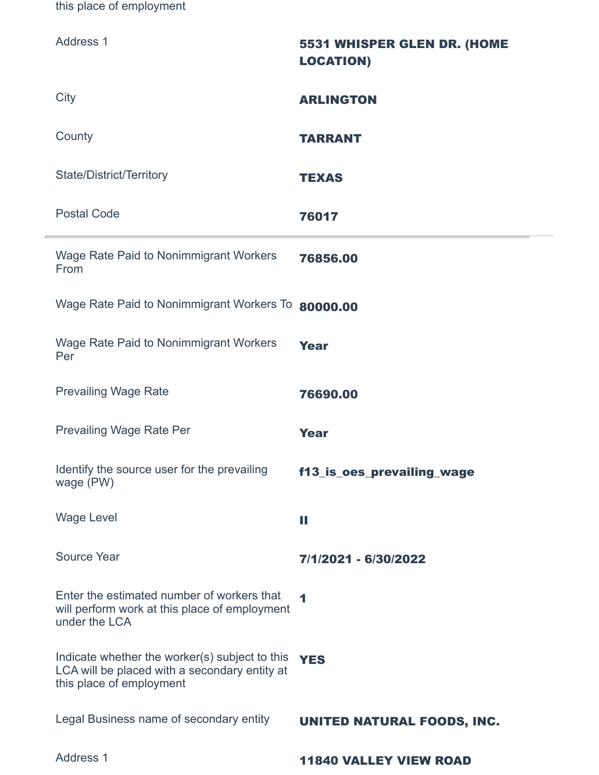this place of employment

| <b>Address 1</b>                                                                                                            | 5531 WHISPER GLEN DR. (HOME<br><b>LOCATION)</b> |
|-----------------------------------------------------------------------------------------------------------------------------|-------------------------------------------------|
| City                                                                                                                        | <b>ARLINGTON</b>                                |
| County                                                                                                                      | <b>TARRANT</b>                                  |
| <b>State/District/Territory</b>                                                                                             | <b>TEXAS</b>                                    |
| <b>Postal Code</b>                                                                                                          | 76017                                           |
| Wage Rate Paid to Nonimmigrant Workers<br>From                                                                              | 76856.00                                        |
| Wage Rate Paid to Nonimmigrant Workers To 80000.00                                                                          |                                                 |
| <b>Wage Rate Paid to Nonimmigrant Workers</b><br>Per                                                                        | <b>Year</b>                                     |
| <b>Prevailing Wage Rate</b>                                                                                                 | 76690.00                                        |
| <b>Prevailing Wage Rate Per</b>                                                                                             | <b>Year</b>                                     |
| Identify the source user for the prevailing<br>wage (PW)                                                                    | f13_is_oes_prevailing_wage                      |
| <b>Wage Level</b>                                                                                                           | H                                               |
| <b>Source Year</b>                                                                                                          | 7/1/2021 - 6/30/2022                            |
| Enter the estimated number of workers that<br>will perform work at this place of employment<br>under the LCA                | $\blacktriangleleft$                            |
| Indicate whether the worker(s) subject to this<br>LCA will be placed with a secondary entity at<br>this place of employment | <b>YES</b>                                      |
| Legal Business name of secondary entity                                                                                     | UNITED NATURAL FOODS, INC.                      |
| <b>Address 1</b>                                                                                                            | <b>11840 VALLEY VIEW ROAD</b>                   |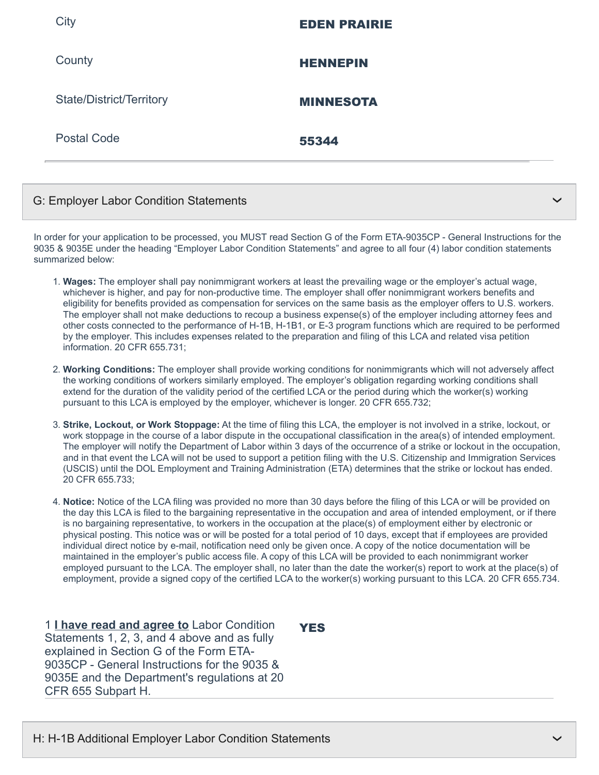| City                            | <b>EDEN PRAIRIE</b> |
|---------------------------------|---------------------|
| County                          | <b>HENNEPIN</b>     |
| <b>State/District/Territory</b> | <b>MINNESOTA</b>    |
| <b>Postal Code</b>              | 55344               |
|                                 |                     |

### G: Employer Labor Condition Statements

In order for your application to be processed, you MUST read Section G of the Form ETA-9035CP - General Instructions for the 9035 & 9035E under the heading "Employer Labor Condition Statements" and agree to all four (4) labor condition statements summarized below:

- 1. **Wages:** The employer shall pay nonimmigrant workers at least the prevailing wage or the employer's actual wage, whichever is higher, and pay for non-productive time. The employer shall offer nonimmigrant workers benefits and eligibility for benefits provided as compensation for services on the same basis as the employer offers to U.S. workers. The employer shall not make deductions to recoup a business expense(s) of the employer including attorney fees and other costs connected to the performance of H-1B, H-1B1, or E-3 program functions which are required to be performed by the employer. This includes expenses related to the preparation and filing of this LCA and related visa petition information. 20 CFR 655.731;
- 2. **Working Conditions:** The employer shall provide working conditions for nonimmigrants which will not adversely affect the working conditions of workers similarly employed. The employer's obligation regarding working conditions shall extend for the duration of the validity period of the certified LCA or the period during which the worker(s) working pursuant to this LCA is employed by the employer, whichever is longer. 20 CFR 655.732;
- 3. **Strike, Lockout, or Work Stoppage:** At the time of filing this LCA, the employer is not involved in a strike, lockout, or work stoppage in the course of a labor dispute in the occupational classification in the area(s) of intended employment. The employer will notify the Department of Labor within 3 days of the occurrence of a strike or lockout in the occupation, and in that event the LCA will not be used to support a petition filing with the U.S. Citizenship and Immigration Services (USCIS) until the DOL Employment and Training Administration (ETA) determines that the strike or lockout has ended. 20 CFR 655.733;
- 4. **Notice:** Notice of the LCA filing was provided no more than 30 days before the filing of this LCA or will be provided on the day this LCA is filed to the bargaining representative in the occupation and area of intended employment, or if there is no bargaining representative, to workers in the occupation at the place(s) of employment either by electronic or physical posting. This notice was or will be posted for a total period of 10 days, except that if employees are provided individual direct notice by e-mail, notification need only be given once. A copy of the notice documentation will be maintained in the employer's public access file. A copy of this LCA will be provided to each nonimmigrant worker employed pursuant to the LCA. The employer shall, no later than the date the worker(s) report to work at the place(s) of employment, provide a signed copy of the certified LCA to the worker(s) working pursuant to this LCA. 20 CFR 655.734.

1 **I have read and agree to** Labor Condition Statements 1, 2, 3, and 4 above and as fully explained in Section G of the Form ETA-9035CP - General Instructions for the 9035 & 9035E and the Department's regulations at 20 CFR 655 Subpart H.

**YES** 

❯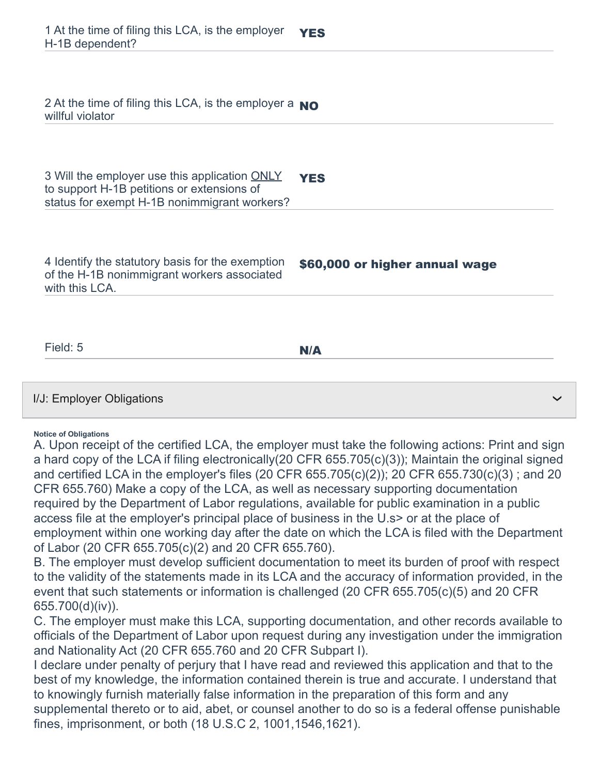| 2 At the time of filing this LCA, is the employer a $_{\rm NO}$<br>willful violator                                                         |                                |
|---------------------------------------------------------------------------------------------------------------------------------------------|--------------------------------|
| 3 Will the employer use this application ONLY<br>to support H-1B petitions or extensions of<br>status for exempt H-1B nonimmigrant workers? | <b>YES</b>                     |
| 4 Identify the statutory basis for the exemption<br>of the H-1B nonimmigrant workers associated<br>with this LCA.                           | \$60,000 or higher annual wage |
| Field: 5                                                                                                                                    | N/A                            |
| I/J: Employer Obligations                                                                                                                   |                                |

#### **Notice of Obligations**

A. Upon receipt of the certified LCA, the employer must take the following actions: Print and sign a hard copy of the LCA if filing electronically(20 CFR 655.705(c)(3)); Maintain the original signed and certified LCA in the employer's files (20 CFR 655.705(c)(2)); 20 CFR 655.730(c)(3) ; and 20 CFR 655.760) Make a copy of the LCA, as well as necessary supporting documentation required by the Department of Labor regulations, available for public examination in a public access file at the employer's principal place of business in the U.s> or at the place of employment within one working day after the date on which the LCA is filed with the Department of Labor (20 CFR 655.705(c)(2) and 20 CFR 655.760).

B. The employer must develop sufficient documentation to meet its burden of proof with respect to the validity of the statements made in its LCA and the accuracy of information provided, in the event that such statements or information is challenged (20 CFR 655.705(c)(5) and 20 CFR 655.700(d)(iv)).

C. The employer must make this LCA, supporting documentation, and other records available to officials of the Department of Labor upon request during any investigation under the immigration and Nationality Act (20 CFR 655.760 and 20 CFR Subpart I).

I declare under penalty of perjury that I have read and reviewed this application and that to the best of my knowledge, the information contained therein is true and accurate. I understand that to knowingly furnish materially false information in the preparation of this form and any supplemental thereto or to aid, abet, or counsel another to do so is a federal offense punishable fines, imprisonment, or both (18 U.S.C 2, 1001,1546,1621).